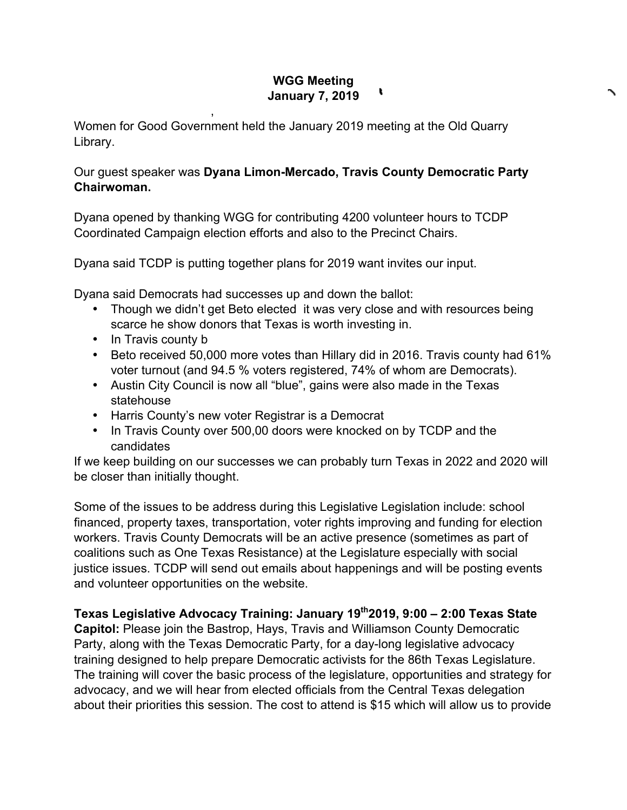## **WGG Meeting**  t **January 7, 2019**

Women for Good Government held the January 2019 meeting at the Old Quarry Library.

## Our guest speaker was **Dyana Limon-Mercado, Travis County Democratic Party Chairwoman.**

Dyana opened by thanking WGG for contributing 4200 volunteer hours to TCDP Coordinated Campaign election efforts and also to the Precinct Chairs.

Dyana said TCDP is putting together plans for 2019 want invites our input.

Dyana said Democrats had successes up and down the ballot:

,

- Though we didn't get Beto elected it was very close and with resources being scarce he show donors that Texas is worth investing in.
- In Travis county b
- Beto received 50,000 more votes than Hillary did in 2016. Travis county had 61% voter turnout (and 94.5 % voters registered, 74% of whom are Democrats).
- Austin City Council is now all "blue", gains were also made in the Texas statehouse
- Harris County's new voter Registrar is a Democrat
- In Travis County over 500,00 doors were knocked on by TCDP and the candidates

If we keep building on our successes we can probably turn Texas in 2022 and 2020 will be closer than initially thought.

Some of the issues to be address during this Legislative Legislation include: school financed, property taxes, transportation, voter rights improving and funding for election workers. Travis County Democrats will be an active presence (sometimes as part of coalitions such as One Texas Resistance) at the Legislature especially with social justice issues. TCDP will send out emails about happenings and will be posting events and volunteer opportunities on the website.

**Texas Legislative Advocacy Training: January 19th2019, 9:00 – 2:00 Texas State** 

**Capitol:** Please join the Bastrop, Hays, Travis and Williamson County Democratic Party, along with the Texas Democratic Party, for a day-long legislative advocacy training designed to help prepare Democratic activists for the 86th Texas Legislature. The training will cover the basic process of the legislature, opportunities and strategy for advocacy, and we will hear from elected officials from the Central Texas delegation about their priorities this session. The cost to attend is \$15 which will allow us to provide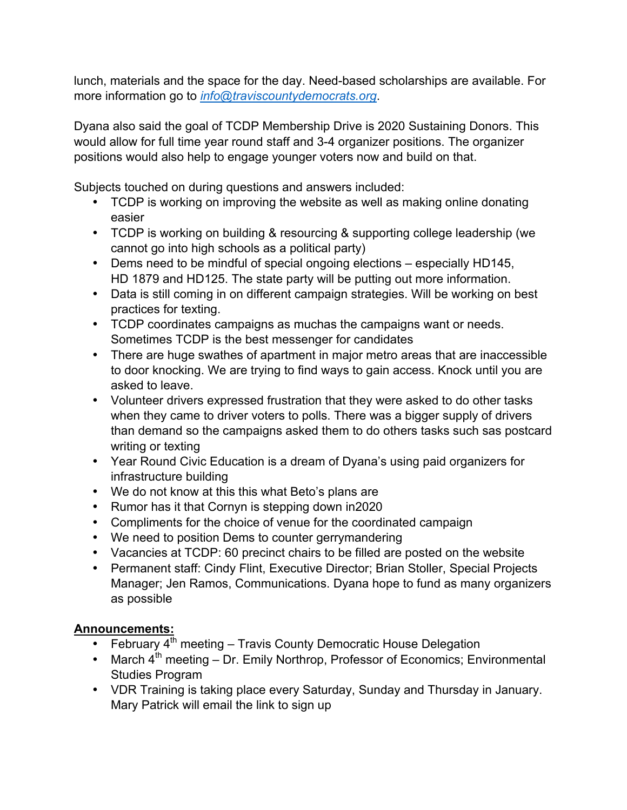lunch, materials and the space for the day. Need-based scholarships are available. For more information go to *info@traviscountydemocrats.org*.

Dyana also said the goal of TCDP Membership Drive is 2020 Sustaining Donors. This would allow for full time year round staff and 3-4 organizer positions. The organizer positions would also help to engage younger voters now and build on that.

Subjects touched on during questions and answers included:

- TCDP is working on improving the website as well as making online donating easier
- TCDP is working on building & resourcing & supporting college leadership (we cannot go into high schools as a political party)
- Dems need to be mindful of special ongoing elections especially HD145, HD 1879 and HD125. The state party will be putting out more information.
- Data is still coming in on different campaign strategies. Will be working on best practices for texting.
- TCDP coordinates campaigns as muchas the campaigns want or needs. Sometimes TCDP is the best messenger for candidates
- There are huge swathes of apartment in major metro areas that are inaccessible to door knocking. We are trying to find ways to gain access. Knock until you are asked to leave.
- Volunteer drivers expressed frustration that they were asked to do other tasks when they came to driver voters to polls. There was a bigger supply of drivers than demand so the campaigns asked them to do others tasks such sas postcard writing or texting
- Year Round Civic Education is a dream of Dyana's using paid organizers for infrastructure building
- We do not know at this this what Beto's plans are
- Rumor has it that Cornyn is stepping down in2020
- Compliments for the choice of venue for the coordinated campaign
- We need to position Dems to counter gerrymandering
- Vacancies at TCDP: 60 precinct chairs to be filled are posted on the website
- Permanent staff: Cindy Flint, Executive Director; Brian Stoller, Special Projects Manager; Jen Ramos, Communications. Dyana hope to fund as many organizers as possible

## **Announcements:**

- February  $4^{th}$  meeting Travis County Democratic House Delegation
- March  $4^{th}$  meeting Dr. Emily Northrop, Professor of Economics; Environmental Studies Program
- VDR Training is taking place every Saturday, Sunday and Thursday in January. Mary Patrick will email the link to sign up